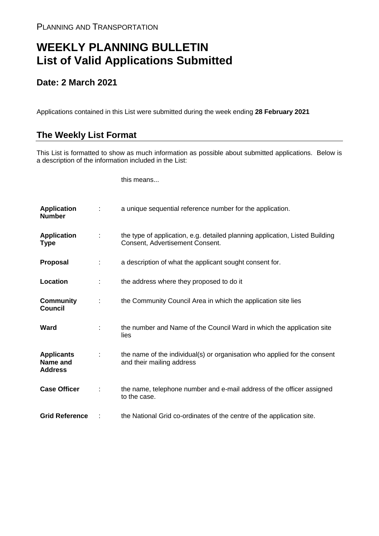## **WEEKLY PLANNING BULLETIN List of Valid Applications Submitted**

## **Date: 2 March 2021**

Applications contained in this List were submitted during the week ending **28 February 2021**

## **The Weekly List Format**

This List is formatted to show as much information as possible about submitted applications. Below is a description of the information included in the List:

this means...

| <b>Application</b><br><b>Number</b>             |   | a unique sequential reference number for the application.                                                       |
|-------------------------------------------------|---|-----------------------------------------------------------------------------------------------------------------|
| <b>Application</b><br>Type                      | ÷ | the type of application, e.g. detailed planning application, Listed Building<br>Consent, Advertisement Consent. |
| <b>Proposal</b>                                 | ÷ | a description of what the applicant sought consent for.                                                         |
| Location                                        |   | the address where they proposed to do it                                                                        |
| <b>Community</b><br><b>Council</b>              | ÷ | the Community Council Area in which the application site lies                                                   |
| Ward                                            |   | the number and Name of the Council Ward in which the application site<br>lies                                   |
| <b>Applicants</b><br>Name and<br><b>Address</b> |   | the name of the individual(s) or organisation who applied for the consent<br>and their mailing address          |
| <b>Case Officer</b>                             |   | the name, telephone number and e-mail address of the officer assigned<br>to the case.                           |
| <b>Grid Reference</b>                           |   | the National Grid co-ordinates of the centre of the application site.                                           |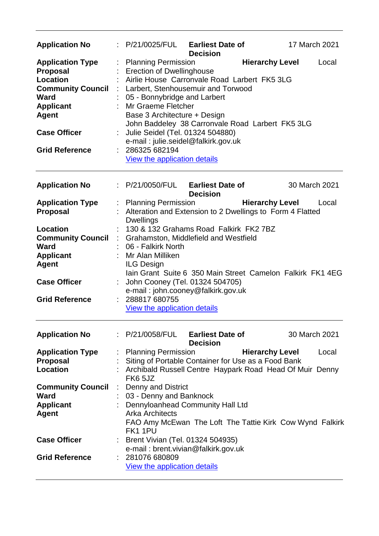| <b>Application No</b>                                                                                                                                                                        |   | $\therefore$ P/21/0025/FUL Earliest Date of                                                                                                                                                                                                                                                                                                                                                                                  | <b>Decision</b> |                        | 17 March 2021                                              |
|----------------------------------------------------------------------------------------------------------------------------------------------------------------------------------------------|---|------------------------------------------------------------------------------------------------------------------------------------------------------------------------------------------------------------------------------------------------------------------------------------------------------------------------------------------------------------------------------------------------------------------------------|-----------------|------------------------|------------------------------------------------------------|
| <b>Application Type</b><br><b>Proposal</b><br><b>Location</b><br><b>Community Council</b><br><b>Ward</b><br><b>Applicant</b><br><b>Agent</b><br><b>Case Officer</b><br><b>Grid Reference</b> |   | <b>Planning Permission</b><br><b>Erection of Dwellinghouse</b><br>Airlie House Carronvale Road Larbert FK5 3LG<br>: Larbert, Stenhousemuir and Torwood<br>05 - Bonnybridge and Larbert<br>Mr Graeme Fletcher<br>Base 3 Architecture + Design<br>John Baddeley 38 Carronvale Road Larbert FK5 3LG<br>Julie Seidel (Tel. 01324 504880)<br>e-mail: julie.seidel@falkirk.gov.uk<br>286325 682194<br>View the application details |                 | <b>Hierarchy Level</b> | Local                                                      |
| <b>Application No</b>                                                                                                                                                                        |   | : P/21/0050/FUL Earliest Date of                                                                                                                                                                                                                                                                                                                                                                                             | <b>Decision</b> |                        | 30 March 2021                                              |
| <b>Application Type</b><br><b>Proposal</b>                                                                                                                                                   |   | : Planning Permission<br>Alteration and Extension to 2 Dwellings to Form 4 Flatted<br><b>Dwellings</b>                                                                                                                                                                                                                                                                                                                       |                 | <b>Hierarchy Level</b> | Local                                                      |
| Location<br><b>Community Council</b><br>Ward<br><b>Applicant</b><br><b>Agent</b>                                                                                                             |   | 130 & 132 Grahams Road Falkirk FK2 7BZ<br>Grahamston, Middlefield and Westfield<br>06 - Falkirk North<br>Mr Alan Milliken<br><b>ILG Design</b>                                                                                                                                                                                                                                                                               |                 |                        | Jain Grant Suite 6 350 Main Street Camelon Falkirk FK1 4EG |
| <b>Case Officer</b>                                                                                                                                                                          |   | John Cooney (Tel. 01324 504705)<br>e-mail: john.cooney@falkirk.gov.uk                                                                                                                                                                                                                                                                                                                                                        |                 |                        |                                                            |
| <b>Grid Reference</b>                                                                                                                                                                        |   | 288817 680755<br><b>View the application details</b>                                                                                                                                                                                                                                                                                                                                                                         |                 |                        |                                                            |
| <b>Application No</b>                                                                                                                                                                        |   | : P/21/0058/FUL Earliest Date of                                                                                                                                                                                                                                                                                                                                                                                             | <b>Decision</b> |                        | 30 March 2021                                              |
| <b>Application Type</b><br><b>Proposal</b><br>Location                                                                                                                                       |   | <b>Planning Permission</b><br>Siting of Portable Container for Use as a Food Bank<br>Archibald Russell Centre Haypark Road Head Of Muir Denny<br>FK6 5JZ                                                                                                                                                                                                                                                                     |                 | <b>Hierarchy Level</b> | Local                                                      |
| <b>Community Council</b><br><b>Ward</b><br><b>Applicant</b><br><b>Agent</b>                                                                                                                  | ÷ | <b>Denny and District</b><br>03 - Denny and Banknock<br>Dennyloanhead Community Hall Ltd<br><b>Arka Architects</b><br>FK11PU                                                                                                                                                                                                                                                                                                 |                 |                        | FAO Amy McEwan The Loft The Tattie Kirk Cow Wynd Falkirk   |
| <b>Case Officer</b>                                                                                                                                                                          |   | : Brent Vivian (Tel. 01324 504935)<br>e-mail: brent.vivian@falkirk.gov.uk                                                                                                                                                                                                                                                                                                                                                    |                 |                        |                                                            |
| <b>Grid Reference</b>                                                                                                                                                                        |   | 281076 680809<br><b>View the application details</b>                                                                                                                                                                                                                                                                                                                                                                         |                 |                        |                                                            |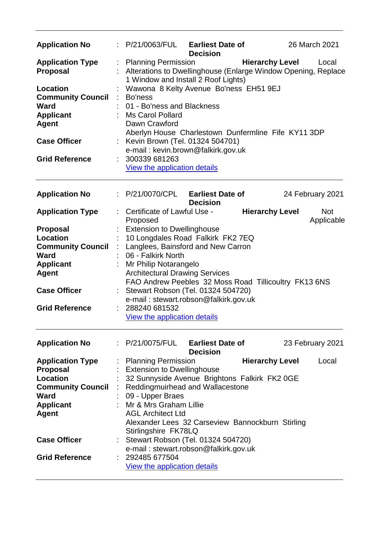| <b>Application No</b>                                                                          |    | : P/21/0063/FUL                                                                                                                                                               | <b>Earliest Date of</b><br><b>Decision</b> |                        | 26 March 2021    |                          |
|------------------------------------------------------------------------------------------------|----|-------------------------------------------------------------------------------------------------------------------------------------------------------------------------------|--------------------------------------------|------------------------|------------------|--------------------------|
| <b>Application Type</b><br><b>Proposal</b>                                                     |    | <b>Planning Permission</b><br>Alterations to Dwellinghouse (Enlarge Window Opening, Replace<br>1 Window and Install 2 Roof Lights)                                            |                                            | <b>Hierarchy Level</b> |                  | Local                    |
| <b>Location</b><br><b>Community Council</b><br><b>Ward</b><br><b>Applicant</b><br><b>Agent</b> |    | Wawona 8 Kelty Avenue Bo'ness EH51 9EJ<br>Bo'ness<br>01 - Bo'ness and Blackness<br>: Ms Carol Pollard<br>Dawn Crawford<br>Aberlyn House Charlestown Dunfermline Fife KY11 3DP |                                            |                        |                  |                          |
| <b>Case Officer</b>                                                                            |    | Kevin Brown (Tel. 01324 504701)<br>e-mail: kevin.brown@falkirk.gov.uk                                                                                                         |                                            |                        |                  |                          |
| <b>Grid Reference</b>                                                                          |    | 300339 681263<br>View the application details                                                                                                                                 |                                            |                        |                  |                          |
| <b>Application No</b>                                                                          |    | : P/21/0070/CPL                                                                                                                                                               | <b>Earliest Date of</b><br><b>Decision</b> |                        | 24 February 2021 |                          |
| <b>Application Type</b>                                                                        |    | Certificate of Lawful Use -<br>Proposed                                                                                                                                       |                                            | <b>Hierarchy Level</b> |                  | <b>Not</b><br>Applicable |
| <b>Proposal</b>                                                                                |    | <b>Extension to Dwellinghouse</b>                                                                                                                                             |                                            |                        |                  |                          |
| <b>Location</b>                                                                                |    | 10 Longdales Road Falkirk FK2 7EQ                                                                                                                                             |                                            |                        |                  |                          |
| <b>Community Council</b>                                                                       |    | Langlees, Bainsford and New Carron                                                                                                                                            |                                            |                        |                  |                          |
|                                                                                                |    |                                                                                                                                                                               |                                            |                        |                  |                          |
| <b>Ward</b>                                                                                    |    | 06 - Falkirk North                                                                                                                                                            |                                            |                        |                  |                          |
| <b>Applicant</b>                                                                               |    | Mr Philip Notarangelo                                                                                                                                                         |                                            |                        |                  |                          |
| <b>Agent</b>                                                                                   |    | <b>Architectural Drawing Services</b>                                                                                                                                         |                                            |                        |                  |                          |
|                                                                                                |    | FAO Andrew Peebles 32 Moss Road Tillicoultry FK13 6NS                                                                                                                         |                                            |                        |                  |                          |
| <b>Case Officer</b>                                                                            |    | Stewart Robson (Tel. 01324 504720)                                                                                                                                            |                                            |                        |                  |                          |
|                                                                                                |    | e-mail: stewart.robson@falkirk.gov.uk                                                                                                                                         |                                            |                        |                  |                          |
| <b>Grid Reference</b>                                                                          |    | 288240 681532                                                                                                                                                                 |                                            |                        |                  |                          |
|                                                                                                |    | <b>View the application details</b>                                                                                                                                           |                                            |                        |                  |                          |
| <b>Application No</b>                                                                          |    | : P/21/0075/FUL                                                                                                                                                               | <b>Earliest Date of</b><br><b>Decision</b> |                        | 23 February 2021 |                          |
| <b>Application Type</b>                                                                        |    | <b>Planning Permission</b>                                                                                                                                                    |                                            | <b>Hierarchy Level</b> |                  | Local                    |
| <b>Proposal</b>                                                                                |    | <b>Extension to Dwellinghouse</b>                                                                                                                                             |                                            |                        |                  |                          |
| Location                                                                                       |    | 32 Sunnyside Avenue Brightons Falkirk FK2 0GE                                                                                                                                 |                                            |                        |                  |                          |
| <b>Community Council</b>                                                                       |    | Reddingmuirhead and Wallacestone                                                                                                                                              |                                            |                        |                  |                          |
| <b>Ward</b>                                                                                    |    | 09 - Upper Braes                                                                                                                                                              |                                            |                        |                  |                          |
|                                                                                                |    |                                                                                                                                                                               |                                            |                        |                  |                          |
| <b>Applicant</b>                                                                               |    | Mr & Mrs Graham Lillie                                                                                                                                                        |                                            |                        |                  |                          |
| <b>Agent</b>                                                                                   |    | <b>AGL Architect Ltd</b><br>Alexander Lees 32 Carseview Bannockburn Stirling                                                                                                  |                                            |                        |                  |                          |
|                                                                                                |    | Stirlingshire FK78LQ                                                                                                                                                          |                                            |                        |                  |                          |
| <b>Case Officer</b>                                                                            |    | Stewart Robson (Tel. 01324 504720)                                                                                                                                            |                                            |                        |                  |                          |
|                                                                                                |    | e-mail: stewart.robson@falkirk.gov.uk                                                                                                                                         |                                            |                        |                  |                          |
| <b>Grid Reference</b>                                                                          | ÷. | 292485 677504                                                                                                                                                                 |                                            |                        |                  |                          |
|                                                                                                |    | View the application details                                                                                                                                                  |                                            |                        |                  |                          |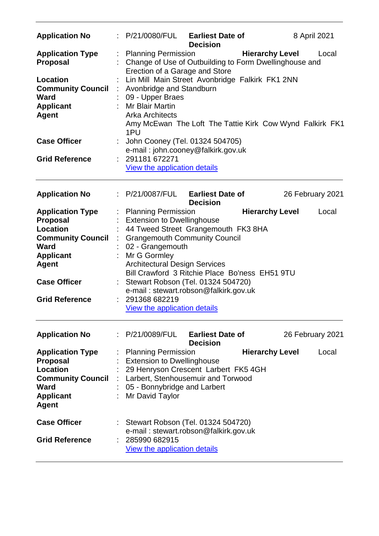| <b>Application No</b>                                                                                                                                                                        | P/21/0080/FUL                                                                                                                                                                                                                                                                                                                                                                                                | <b>Earliest Date of</b><br><b>Decision</b> |                        | 8 April 2021     |
|----------------------------------------------------------------------------------------------------------------------------------------------------------------------------------------------|--------------------------------------------------------------------------------------------------------------------------------------------------------------------------------------------------------------------------------------------------------------------------------------------------------------------------------------------------------------------------------------------------------------|--------------------------------------------|------------------------|------------------|
| <b>Application Type</b><br><b>Proposal</b>                                                                                                                                                   | <b>Planning Permission</b><br>Change of Use of Outbuilding to Form Dwellinghouse and<br>Erection of a Garage and Store                                                                                                                                                                                                                                                                                       |                                            | <b>Hierarchy Level</b> | Local            |
| <b>Location</b><br><b>Community Council</b><br><b>Ward</b><br><b>Applicant</b><br><b>Agent</b>                                                                                               | Lin Mill Main Street Avonbridge Falkirk FK1 2NN<br>Avonbridge and Standburn<br>09 - Upper Braes<br><b>Mr Blair Martin</b><br><b>Arka Architects</b><br>Amy McEwan The Loft The Tattie Kirk Cow Wynd Falkirk FK1<br>1PU                                                                                                                                                                                       |                                            |                        |                  |
| <b>Case Officer</b><br><b>Grid Reference</b>                                                                                                                                                 | John Cooney (Tel. 01324 504705)<br>e-mail: john.cooney@falkirk.gov.uk<br>291181 672271                                                                                                                                                                                                                                                                                                                       |                                            |                        |                  |
|                                                                                                                                                                                              | View the application details                                                                                                                                                                                                                                                                                                                                                                                 |                                            |                        |                  |
| <b>Application No</b>                                                                                                                                                                        | P/21/0087/FUL                                                                                                                                                                                                                                                                                                                                                                                                | <b>Earliest Date of</b><br><b>Decision</b> |                        | 26 February 2021 |
| <b>Application Type</b><br><b>Proposal</b><br><b>Location</b><br><b>Community Council</b><br><b>Ward</b><br><b>Applicant</b><br><b>Agent</b><br><b>Case Officer</b><br><b>Grid Reference</b> | <b>Planning Permission</b><br><b>Extension to Dwellinghouse</b><br>44 Tweed Street Grangemouth FK3 8HA<br><b>Grangemouth Community Council</b><br>02 - Grangemouth<br>Mr G Gormley<br><b>Architectural Design Services</b><br>Bill Crawford 3 Ritchie Place Bo'ness EH51 9TU<br>Stewart Robson (Tel. 01324 504720)<br>e-mail: stewart.robson@falkirk.gov.uk<br>291368 682219<br>View the application details |                                            | <b>Hierarchy Level</b> | Local            |
| <b>Application No</b>                                                                                                                                                                        | P/21/0089/FUL                                                                                                                                                                                                                                                                                                                                                                                                | <b>Earliest Date of</b><br><b>Decision</b> |                        | 26 February 2021 |
| <b>Application Type</b><br><b>Proposal</b><br><b>Location</b><br><b>Community Council</b><br><b>Ward</b><br><b>Applicant</b><br><b>Agent</b>                                                 | <b>Planning Permission</b><br><b>Extension to Dwellinghouse</b><br>29 Henryson Crescent Larbert FK5 4GH<br>Larbert, Stenhousemuir and Torwood<br>05 - Bonnybridge and Larbert<br>Mr David Taylor                                                                                                                                                                                                             |                                            | <b>Hierarchy Level</b> | Local            |
| <b>Case Officer</b><br><b>Grid Reference</b>                                                                                                                                                 | Stewart Robson (Tel. 01324 504720)<br>e-mail: stewart.robson@falkirk.gov.uk<br>285990 682915<br><b>View the application details</b>                                                                                                                                                                                                                                                                          |                                            |                        |                  |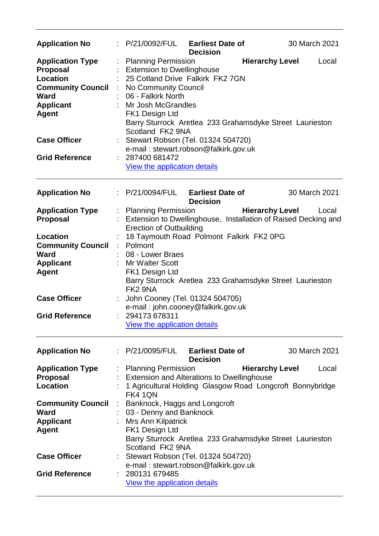| <b>Application No</b>                                                                                                                                                                        |   | P/21/0092/FUL                                                                                                                                                                                                                                                                                                                                                                                                | <b>Earliest Date of</b><br><b>Decision</b> |                        | 30 March 2021 |  |  |
|----------------------------------------------------------------------------------------------------------------------------------------------------------------------------------------------|---|--------------------------------------------------------------------------------------------------------------------------------------------------------------------------------------------------------------------------------------------------------------------------------------------------------------------------------------------------------------------------------------------------------------|--------------------------------------------|------------------------|---------------|--|--|
| <b>Application Type</b><br><b>Proposal</b><br><b>Location</b><br><b>Community Council</b><br><b>Ward</b><br><b>Applicant</b><br><b>Agent</b><br><b>Case Officer</b><br><b>Grid Reference</b> | ÷ | <b>Planning Permission</b><br><b>Hierarchy Level</b><br>Local<br><b>Extension to Dwellinghouse</b><br>25 Cotland Drive Falkirk FK2 7GN<br>No Community Council<br>06 - Falkirk North<br>Mr Josh McGrandles<br>FK1 Design Ltd<br>Barry Sturrock Aretlea 233 Grahamsdyke Street Laurieston<br>Scotland FK2 9NA<br>Stewart Robson (Tel. 01324 504720)<br>e-mail: stewart.robson@falkirk.gov.uk<br>287400 681472 |                                            |                        |               |  |  |
|                                                                                                                                                                                              |   | View the application details                                                                                                                                                                                                                                                                                                                                                                                 |                                            |                        |               |  |  |
| <b>Application No</b>                                                                                                                                                                        |   | : P/21/0094/FUL                                                                                                                                                                                                                                                                                                                                                                                              | <b>Earliest Date of</b><br><b>Decision</b> |                        | 30 March 2021 |  |  |
| <b>Application Type</b><br><b>Proposal</b>                                                                                                                                                   |   | : Planning Permission<br>Extension to Dwellinghouse, Installation of Raised Decking and<br><b>Erection of Outbuilding</b>                                                                                                                                                                                                                                                                                    |                                            | <b>Hierarchy Level</b> | Local         |  |  |
| Location<br><b>Community Council</b><br><b>Ward</b><br><b>Applicant</b><br><b>Agent</b>                                                                                                      |   | 18 Taymouth Road Polmont Falkirk FK2 0PG<br>Polmont<br>08 - Lower Braes<br><b>Mr Walter Scott</b><br>FK1 Design Ltd<br>Barry Sturrock Aretlea 233 Grahamsdyke Street Laurieston                                                                                                                                                                                                                              |                                            |                        |               |  |  |
| <b>Case Officer</b>                                                                                                                                                                          |   | FK <sub>2</sub> 9NA<br>John Cooney (Tel. 01324 504705)<br>e-mail: john.cooney@falkirk.gov.uk                                                                                                                                                                                                                                                                                                                 |                                            |                        |               |  |  |
| <b>Grid Reference</b>                                                                                                                                                                        |   | 294173 678311<br><b>View the application details</b>                                                                                                                                                                                                                                                                                                                                                         |                                            |                        |               |  |  |
| <b>Application No</b>                                                                                                                                                                        |   | : P/21/0095/FUL                                                                                                                                                                                                                                                                                                                                                                                              | <b>Earliest Date of</b><br><b>Decision</b> |                        | 30 March 2021 |  |  |
| <b>Application Type</b><br>Proposal<br><b>Location</b>                                                                                                                                       |   | <b>Planning Permission</b><br><b>Extension and Alterations to Dwellinghouse</b><br>1 Agricultural Holding Glasgow Road Longcroft Bonnybridge<br><b>FK4 1QN</b>                                                                                                                                                                                                                                               |                                            | <b>Hierarchy Level</b> | Local         |  |  |
| <b>Community Council</b><br>Ward<br><b>Applicant</b><br><b>Agent</b>                                                                                                                         | ÷ | Banknock, Haggs and Longcroft<br>03 - Denny and Banknock<br>Mrs Ann Kilpatrick<br>FK1 Design Ltd<br>Barry Sturrock Aretlea 233 Grahamsdyke Street Laurieston<br>Scotland FK2 9NA                                                                                                                                                                                                                             |                                            |                        |               |  |  |
| <b>Case Officer</b>                                                                                                                                                                          |   | Stewart Robson (Tel. 01324 504720)                                                                                                                                                                                                                                                                                                                                                                           |                                            |                        |               |  |  |
| <b>Grid Reference</b>                                                                                                                                                                        |   | e-mail: stewart.robson@falkirk.gov.uk<br>280131 679485<br><b>View the application details</b>                                                                                                                                                                                                                                                                                                                |                                            |                        |               |  |  |